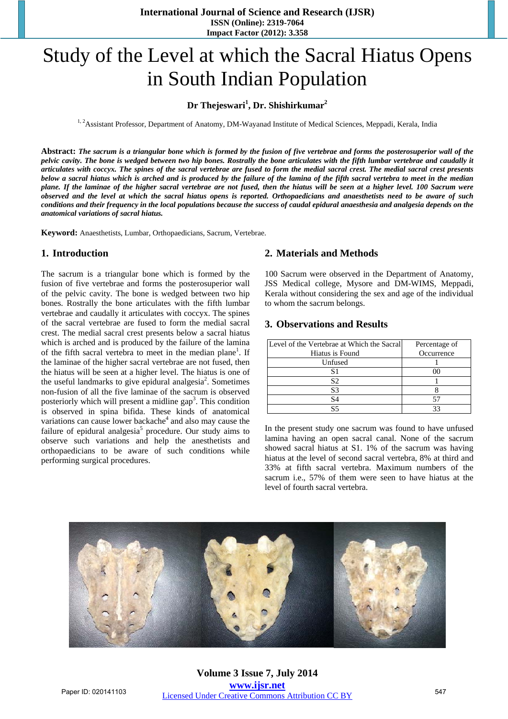**International Journal of Science and Research (IJSR) ISSN (Online): 2319-7064 Impact Factor (2012): 3.358** 

# Study of the Level at which the Sacral Hiatus Opens in South Indian Population

## **Dr Thejeswari<sup>1</sup> , Dr. Shishirkumar2**

<sup>1, 2</sup>Assistant Professor, Department of Anatomy, DM-Wayanad Institute of Medical Sciences, Meppadi, Kerala, India

**Abstract:** *The sacrum is a triangular bone which is formed by the fusion of five vertebrae and forms the posterosuperior wall of the pelvic cavity. The bone is wedged between two hip bones. Rostrally the bone articulates with the fifth lumbar vertebrae and caudally it articulates with coccyx. The spines of the sacral vertebrae are fused to form the medial sacral crest. The medial sacral crest presents below a sacral hiatus which is arched and is produced by the failure of the lamina of the fifth sacral vertebra to meet in the median plane. If the laminae of the higher sacral vertebrae are not fused, then the hiatus will be seen at a higher level. 100 Sacrum were observed and the level at which the sacral hiatus opens is reported. Orthopaedicians and anaesthetists need to be aware of such conditions and their frequency in the local populations because the success of caudal epidural anaesthesia and analgesia depends on the anatomical variations of sacral hiatus.* 

**Keyword:** Anaesthetists, Lumbar, Orthopaedicians, Sacrum, Vertebrae.

#### **1. Introduction**

The sacrum is a triangular bone which is formed by the fusion of five vertebrae and forms the posterosuperior wall of the pelvic cavity. The bone is wedged between two hip bones. Rostrally the bone articulates with the fifth lumbar vertebrae and caudally it articulates with coccyx. The spines of the sacral vertebrae are fused to form the medial sacral crest. The medial sacral crest presents below a sacral hiatus which is arched and is produced by the failure of the lamina of the fifth sacral vertebra to meet in the median plane<sup>1</sup>. If the laminae of the higher sacral vertebrae are not fused, then the hiatus will be seen at a higher level. The hiatus is one of the useful landmarks to give epidural analgesia<sup>2</sup>. Sometimes non-fusion of all the five laminae of the sacrum is observed posteriorly which will present a midline gap<sup>3</sup>. This condition is observed in spina bifida. These kinds of anatomical variations can cause lower backache<sup>4</sup> and also may cause the failure of epidural analgesia<sup>5</sup> procedure. Our study aims to observe such variations and help the anesthetists and orthopaedicians to be aware of such conditions while performing surgical procedures.

#### **2. Materials and Methods**

100 Sacrum were observed in the Department of Anatomy, JSS Medical college, Mysore and DM-WIMS, Meppadi, Kerala without considering the sex and age of the individual to whom the sacrum belongs.

#### **3. Observations and Results**

| Level of the Vertebrae at Which the Sacral | Percentage of |
|--------------------------------------------|---------------|
| Hiatus is Found                            | Occurrence    |
| Unfused                                    |               |
|                                            |               |
| S2                                         |               |
| S3                                         |               |
| S4                                         |               |
|                                            |               |

In the present study one sacrum was found to have unfused lamina having an open sacral canal. None of the sacrum showed sacral hiatus at S1. 1% of the sacrum was having hiatus at the level of second sacral vertebra, 8% at third and 33% at fifth sacral vertebra. Maximum numbers of the sacrum i.e., 57% of them were seen to have hiatus at the level of fourth sacral vertebra.